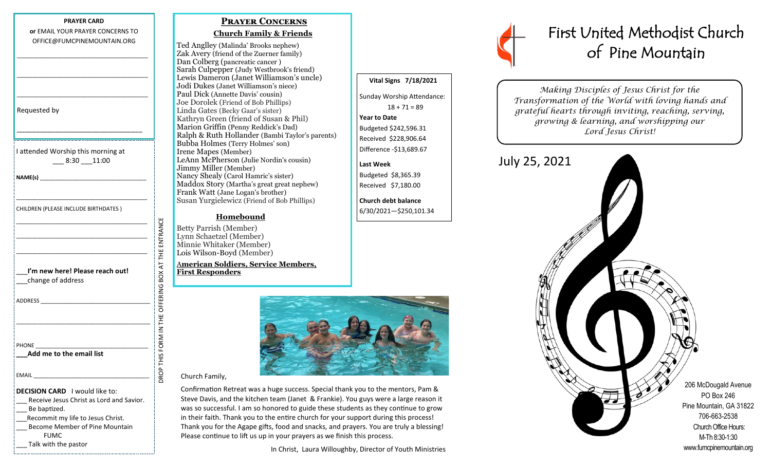#### **PRAYER CARD or** EMAIL YOUR PRAYER CONCERNS TO OFFICE@FUMCPINEMOUNTAIN.ORG

\_\_\_\_\_\_\_\_\_\_\_\_\_\_\_\_\_\_\_\_\_\_\_\_\_\_\_\_\_\_\_\_\_\_\_\_\_\_\_\_\_\_\_

\_\_\_\_\_\_\_\_\_\_\_\_\_\_\_\_\_\_\_\_\_\_\_\_\_\_\_\_\_\_\_\_\_\_\_\_\_\_\_\_\_\_\_

\_\_\_\_\_\_\_\_\_\_\_\_\_\_\_\_\_\_\_\_\_\_\_\_\_\_\_\_\_\_\_\_\_\_\_\_\_\_\_\_\_\_\_

Requested by

I attended Worship this morning at \_\_\_ 8:30 \_\_\_11:00

\_\_\_\_\_\_\_\_\_\_\_\_\_\_\_\_\_\_\_\_\_\_\_\_\_\_\_\_\_\_\_\_\_

\_\_\_\_\_\_\_\_\_\_\_\_\_\_\_\_\_\_\_\_\_\_\_\_\_\_\_\_\_\_\_\_\_\_\_\_\_\_\_\_\_\_\_

\_\_\_\_\_\_\_\_\_\_\_\_\_\_\_\_\_\_\_\_\_\_\_\_\_\_\_\_\_\_\_\_\_\_\_\_\_\_\_\_\_\_\_ \_\_\_\_\_\_\_\_\_\_\_\_\_\_\_\_\_\_\_\_\_\_\_\_\_\_\_\_\_\_\_\_\_\_\_\_\_\_\_\_\_\_\_ \_\_\_\_\_\_\_\_\_\_\_\_\_\_\_\_\_\_\_\_\_\_\_\_\_\_\_\_\_\_\_\_\_\_\_\_\_\_\_\_\_\_\_

**NAME(s)** \_\_\_\_\_\_\_\_\_\_\_\_\_\_\_\_\_\_\_\_\_\_\_\_\_\_\_\_\_\_\_\_\_\_\_

CHILDREN (PLEASE INCLUDE BIRTHDATES )

| I'm new here! Please reach out! |
|---------------------------------|
| change of address               |

DROP THIS FORM IN THE OFFERING BOX AT THE ENTRANCE OFFERING BOX AT THE ADDRESS \_\_\_\_\_\_\_\_\_\_\_\_\_\_\_\_\_\_\_\_\_\_\_\_\_\_\_\_\_\_\_\_\_\_\_\_ **ROP THIS FORM IN THE** \_\_\_\_\_\_\_\_\_\_\_\_\_\_\_\_\_\_\_\_\_\_\_\_\_\_\_\_\_\_\_\_\_\_\_\_\_\_\_\_\_\_\_\_ PHONE **\_\_\_Add me to the email list**  EMAIL \_\_\_\_\_\_\_\_\_\_\_\_\_\_\_\_\_\_\_\_\_\_\_\_\_\_\_\_\_\_\_\_\_\_\_\_\_\_ **DECISION CARD** I would like to: Receive Jesus Christ as Lord and Savior. Be baptized. \_\_\_Recommit my life to Jesus Christ. Become Member of Pine Mountain FUMC

\_\_\_ Talk with the pastor

## **Prayer Concerns**

### **Church Family & Friends**

Ted Anglley (Malinda' Brooks nephew) Zak Avery (friend of the Zuerner family) Dan Colberg (pancreatic cancer ) Sarah Culpepper (Judy Westbrook's friend) Lewis Dameron (Janet Williamson's uncle) Jodi Dukes (Janet Williamson's niece) Paul Dick (Annette Davis' cousin) Joe Dorolek (Friend of Bob Phillips) Linda Gates (Becky Gaar's sister) Kathryn Green (friend of Susan & Phil) Marion Griffin (Penny Reddick's Dad) Ralph & Ruth Hollander (Bambi Taylor's parents) Bubba Holmes (Terry Holmes' son) Irene Mapes (Member) LeAnn McPherson (Julie Nordin's cousin) Jimmy Miller (Member) Nancy Shealy (Carol Hamric's sister) Maddox Story (Martha's great great nephew) Frank Watt (Jane Logan's brother) Susan Yurgielewicz (Friend of Bob Phillips)

# **Homebound**

Betty Parrish (Member) Lynn Schaetzel (Member) Minnie Whitaker (Member) Lois Wilson-Boyd (Member)

ENTRANCE

A**merican Soldiers, Service Members, First Responders**



 **Vital Signs 7/18/2021**

Sunday Worship Attendance:  $18 + 71 = 89$ 

**Year to Date** 

**Last Week**

Budgeted \$242,596.31 Received \$228,906.64 Difference -\$13,689.67

Budgeted \$8,365.39 Received \$7,180.00 **Church debt balance** 6/30/2021—\$250,101.34

#### Church Family,

Confirmation Retreat was a huge success. Special thank you to the mentors, Pam & Steve Davis, and the kitchen team (Janet & Frankie). You guys were a large reason it was so successful. I am so honored to guide these students as they continue to grow in their faith. Thank you to the entire church for your support during this process! Thank you for the Agape gifts, food and snacks, and prayers. You are truly a blessing! Please continue to lift us up in your prayers as we finish this process.

In Christ, Laura Willoughby, Director of Youth Ministries



# First United Methodist Church of Pine Mountain

*Making Disciples of Jesus Christ for the Transformation of the World with loving hands and grateful hearts through inviting, reaching, serving, growing & learning, and worshipping our Lord Jesus Christ!*